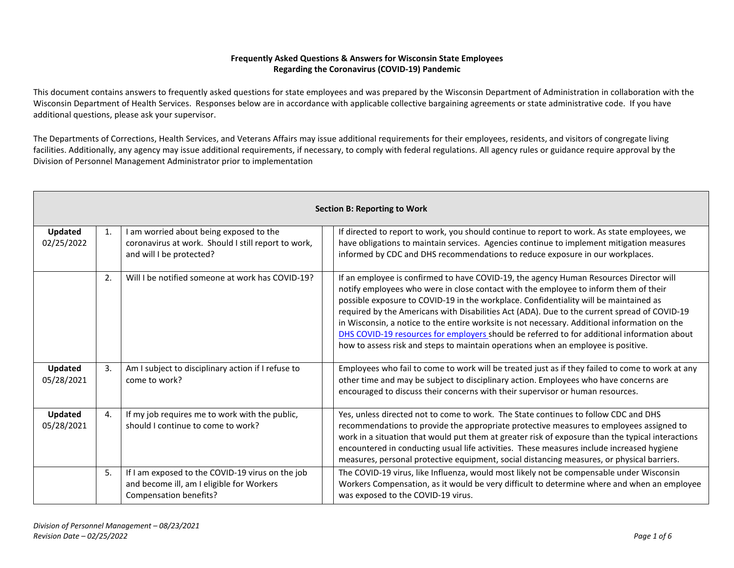## **Frequently Asked Questions & Answers for Wisconsin State Employees Regarding the Coronavirus (COVID-19) Pandemic**

This document contains answers to frequently asked questions for state employees and was prepared by the Wisconsin Department of Administration in collaboration with the Wisconsin Department of Health Services. Responses below are in accordance with applicable collective bargaining agreements or state administrative code. If you have additional questions, please ask your supervisor.

The Departments of Corrections, Health Services, and Veterans Affairs may issue additional requirements for their employees, residents, and visitors of congregate living facilities. Additionally, any agency may issue additional requirements, if necessary, to comply with federal regulations. All agency rules or guidance require approval by the Division of Personnel Management Administrator prior to implementation

| <b>Section B: Reporting to Work</b> |                |                                                                                                                            |                                                                                                                                                                                                                                                                                                                                                                                                                                                                                                                                                                                                                                                              |
|-------------------------------------|----------------|----------------------------------------------------------------------------------------------------------------------------|--------------------------------------------------------------------------------------------------------------------------------------------------------------------------------------------------------------------------------------------------------------------------------------------------------------------------------------------------------------------------------------------------------------------------------------------------------------------------------------------------------------------------------------------------------------------------------------------------------------------------------------------------------------|
| Updated<br>02/25/2022               | 1.             | I am worried about being exposed to the<br>coronavirus at work. Should I still report to work,<br>and will I be protected? | If directed to report to work, you should continue to report to work. As state employees, we<br>have obligations to maintain services. Agencies continue to implement mitigation measures<br>informed by CDC and DHS recommendations to reduce exposure in our workplaces.                                                                                                                                                                                                                                                                                                                                                                                   |
|                                     | 2.             | Will I be notified someone at work has COVID-19?                                                                           | If an employee is confirmed to have COVID-19, the agency Human Resources Director will<br>notify employees who were in close contact with the employee to inform them of their<br>possible exposure to COVID-19 in the workplace. Confidentiality will be maintained as<br>required by the Americans with Disabilities Act (ADA). Due to the current spread of COVID-19<br>in Wisconsin, a notice to the entire worksite is not necessary. Additional information on the<br>DHS COVID-19 resources for employers should be referred to for additional information about<br>how to assess risk and steps to maintain operations when an employee is positive. |
| Updated<br>05/28/2021               | 3.             | Am I subject to disciplinary action if I refuse to<br>come to work?                                                        | Employees who fail to come to work will be treated just as if they failed to come to work at any<br>other time and may be subject to disciplinary action. Employees who have concerns are<br>encouraged to discuss their concerns with their supervisor or human resources.                                                                                                                                                                                                                                                                                                                                                                                  |
| Updated<br>05/28/2021               | $\mathbf{4}$ . | If my job requires me to work with the public,<br>should I continue to come to work?                                       | Yes, unless directed not to come to work. The State continues to follow CDC and DHS<br>recommendations to provide the appropriate protective measures to employees assigned to<br>work in a situation that would put them at greater risk of exposure than the typical interactions<br>encountered in conducting usual life activities. These measures include increased hygiene<br>measures, personal protective equipment, social distancing measures, or physical barriers.                                                                                                                                                                               |
|                                     | 5.             | If I am exposed to the COVID-19 virus on the job<br>and become ill, am I eligible for Workers<br>Compensation benefits?    | The COVID-19 virus, like Influenza, would most likely not be compensable under Wisconsin<br>Workers Compensation, as it would be very difficult to determine where and when an employee<br>was exposed to the COVID-19 virus.                                                                                                                                                                                                                                                                                                                                                                                                                                |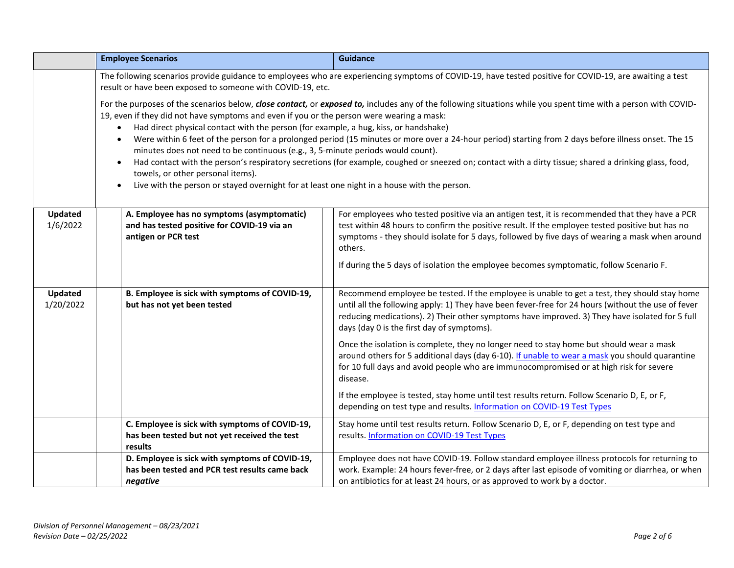|                            | <b>Employee Scenarios</b>                                                                                                                                                                                                                                                                                                                                                                                                                                       | <b>Guidance</b>                                                                                                                                                                                                                                                                                                                                    |  |  |
|----------------------------|-----------------------------------------------------------------------------------------------------------------------------------------------------------------------------------------------------------------------------------------------------------------------------------------------------------------------------------------------------------------------------------------------------------------------------------------------------------------|----------------------------------------------------------------------------------------------------------------------------------------------------------------------------------------------------------------------------------------------------------------------------------------------------------------------------------------------------|--|--|
|                            | The following scenarios provide guidance to employees who are experiencing symptoms of COVID-19, have tested positive for COVID-19, are awaiting a test<br>result or have been exposed to someone with COVID-19, etc.                                                                                                                                                                                                                                           |                                                                                                                                                                                                                                                                                                                                                    |  |  |
|                            | For the purposes of the scenarios below, close contact, or exposed to, includes any of the following situations while you spent time with a person with COVID-<br>19, even if they did not have symptoms and even if you or the person were wearing a mask:<br>Had direct physical contact with the person (for example, a hug, kiss, or handshake)                                                                                                             |                                                                                                                                                                                                                                                                                                                                                    |  |  |
|                            | Were within 6 feet of the person for a prolonged period (15 minutes or more over a 24-hour period) starting from 2 days before illness onset. The 15<br>$\bullet$<br>minutes does not need to be continuous (e.g., 3, 5-minute periods would count).<br>Had contact with the person's respiratory secretions (for example, coughed or sneezed on; contact with a dirty tissue; shared a drinking glass, food,<br>$\bullet$<br>towels, or other personal items). |                                                                                                                                                                                                                                                                                                                                                    |  |  |
|                            |                                                                                                                                                                                                                                                                                                                                                                                                                                                                 |                                                                                                                                                                                                                                                                                                                                                    |  |  |
|                            | Live with the person or stayed overnight for at least one night in a house with the person.<br>$\bullet$                                                                                                                                                                                                                                                                                                                                                        |                                                                                                                                                                                                                                                                                                                                                    |  |  |
|                            |                                                                                                                                                                                                                                                                                                                                                                                                                                                                 |                                                                                                                                                                                                                                                                                                                                                    |  |  |
| <b>Updated</b><br>1/6/2022 | A. Employee has no symptoms (asymptomatic)<br>and has tested positive for COVID-19 via an<br>antigen or PCR test                                                                                                                                                                                                                                                                                                                                                | For employees who tested positive via an antigen test, it is recommended that they have a PCR<br>test within 48 hours to confirm the positive result. If the employee tested positive but has no<br>symptoms - they should isolate for 5 days, followed by five days of wearing a mask when around<br>others.                                      |  |  |
|                            |                                                                                                                                                                                                                                                                                                                                                                                                                                                                 | If during the 5 days of isolation the employee becomes symptomatic, follow Scenario F.                                                                                                                                                                                                                                                             |  |  |
| Updated<br>1/20/2022       | B. Employee is sick with symptoms of COVID-19,<br>but has not yet been tested                                                                                                                                                                                                                                                                                                                                                                                   | Recommend employee be tested. If the employee is unable to get a test, they should stay home<br>until all the following apply: 1) They have been fever-free for 24 hours (without the use of fever<br>reducing medications). 2) Their other symptoms have improved. 3) They have isolated for 5 full<br>days (day 0 is the first day of symptoms). |  |  |
|                            |                                                                                                                                                                                                                                                                                                                                                                                                                                                                 | Once the isolation is complete, they no longer need to stay home but should wear a mask<br>around others for 5 additional days (day 6-10). If unable to wear a mask you should quarantine<br>for 10 full days and avoid people who are immunocompromised or at high risk for severe<br>disease.                                                    |  |  |
|                            |                                                                                                                                                                                                                                                                                                                                                                                                                                                                 | If the employee is tested, stay home until test results return. Follow Scenario D, E, or F,<br>depending on test type and results. Information on COVID-19 Test Types                                                                                                                                                                              |  |  |
|                            | C. Employee is sick with symptoms of COVID-19,<br>has been tested but not yet received the test<br>results                                                                                                                                                                                                                                                                                                                                                      | Stay home until test results return. Follow Scenario D, E, or F, depending on test type and<br>results. Information on COVID-19 Test Types                                                                                                                                                                                                         |  |  |
|                            | D. Employee is sick with symptoms of COVID-19,                                                                                                                                                                                                                                                                                                                                                                                                                  | Employee does not have COVID-19. Follow standard employee illness protocols for returning to                                                                                                                                                                                                                                                       |  |  |
|                            | has been tested and PCR test results came back                                                                                                                                                                                                                                                                                                                                                                                                                  | work. Example: 24 hours fever-free, or 2 days after last episode of vomiting or diarrhea, or when                                                                                                                                                                                                                                                  |  |  |
|                            | negative                                                                                                                                                                                                                                                                                                                                                                                                                                                        | on antibiotics for at least 24 hours, or as approved to work by a doctor.                                                                                                                                                                                                                                                                          |  |  |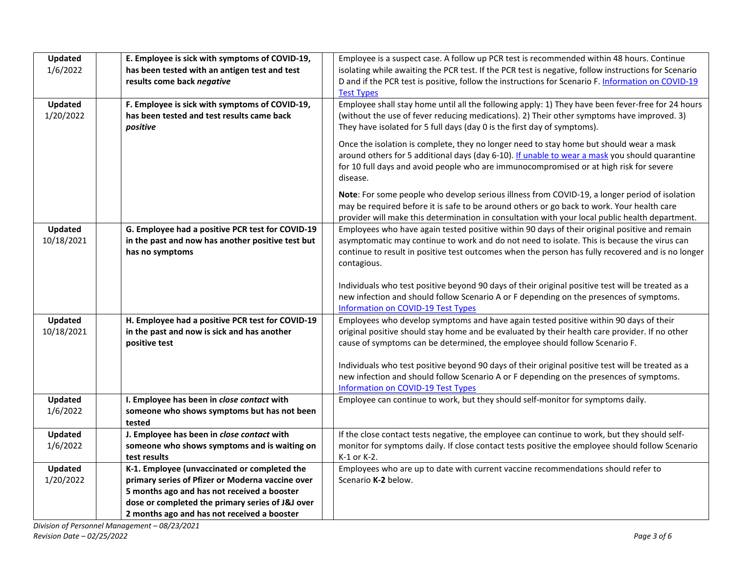| <b>Updated</b> | E. Employee is sick with symptoms of COVID-19,                                                   | Employee is a suspect case. A follow up PCR test is recommended within 48 hours. Continue                                   |
|----------------|--------------------------------------------------------------------------------------------------|-----------------------------------------------------------------------------------------------------------------------------|
| 1/6/2022       | has been tested with an antigen test and test                                                    | isolating while awaiting the PCR test. If the PCR test is negative, follow instructions for Scenario                        |
|                | results come back negative                                                                       | D and if the PCR test is positive, follow the instructions for Scenario F. Information on COVID-19                          |
|                |                                                                                                  | <b>Test Types</b>                                                                                                           |
| Updated        | F. Employee is sick with symptoms of COVID-19,                                                   | Employee shall stay home until all the following apply: 1) They have been fever-free for 24 hours                           |
| 1/20/2022      | has been tested and test results came back                                                       | (without the use of fever reducing medications). 2) Their other symptoms have improved. 3)                                  |
|                | positive                                                                                         | They have isolated for 5 full days (day 0 is the first day of symptoms).                                                    |
|                |                                                                                                  | Once the isolation is complete, they no longer need to stay home but should wear a mask                                     |
|                |                                                                                                  | around others for 5 additional days (day 6-10). If unable to wear a mask you should quarantine                              |
|                |                                                                                                  | for 10 full days and avoid people who are immunocompromised or at high risk for severe                                      |
|                |                                                                                                  | disease.                                                                                                                    |
|                |                                                                                                  | Note: For some people who develop serious illness from COVID-19, a longer period of isolation                               |
|                |                                                                                                  | may be required before it is safe to be around others or go back to work. Your health care                                  |
|                |                                                                                                  | provider will make this determination in consultation with your local public health department.                             |
| Updated        | G. Employee had a positive PCR test for COVID-19                                                 | Employees who have again tested positive within 90 days of their original positive and remain                               |
| 10/18/2021     | in the past and now has another positive test but                                                | asymptomatic may continue to work and do not need to isolate. This is because the virus can                                 |
|                | has no symptoms                                                                                  | continue to result in positive test outcomes when the person has fully recovered and is no longer                           |
|                |                                                                                                  | contagious.                                                                                                                 |
|                |                                                                                                  |                                                                                                                             |
|                |                                                                                                  | Individuals who test positive beyond 90 days of their original positive test will be treated as a                           |
|                |                                                                                                  | new infection and should follow Scenario A or F depending on the presences of symptoms.                                     |
| Updated        | H. Employee had a positive PCR test for COVID-19                                                 | Information on COVID-19 Test Types<br>Employees who develop symptoms and have again tested positive within 90 days of their |
| 10/18/2021     | in the past and now is sick and has another                                                      | original positive should stay home and be evaluated by their health care provider. If no other                              |
|                | positive test                                                                                    | cause of symptoms can be determined, the employee should follow Scenario F.                                                 |
|                |                                                                                                  |                                                                                                                             |
|                |                                                                                                  | Individuals who test positive beyond 90 days of their original positive test will be treated as a                           |
|                |                                                                                                  | new infection and should follow Scenario A or F depending on the presences of symptoms.                                     |
|                |                                                                                                  | Information on COVID-19 Test Types                                                                                          |
| Updated        | I. Employee has been in close contact with                                                       | Employee can continue to work, but they should self-monitor for symptoms daily.                                             |
| 1/6/2022       | someone who shows symptoms but has not been                                                      |                                                                                                                             |
|                | tested                                                                                           |                                                                                                                             |
| Updated        | J. Employee has been in close contact with                                                       | If the close contact tests negative, the employee can continue to work, but they should self-                               |
| 1/6/2022       | someone who shows symptoms and is waiting on                                                     | monitor for symptoms daily. If close contact tests positive the employee should follow Scenario                             |
| Updated        | test results                                                                                     | K-1 or K-2.<br>Employees who are up to date with current vaccine recommendations should refer to                            |
| 1/20/2022      | K-1. Employee (unvaccinated or completed the<br>primary series of Pfizer or Moderna vaccine over | Scenario K-2 below.                                                                                                         |
|                | 5 months ago and has not received a booster                                                      |                                                                                                                             |
|                | dose or completed the primary series of J&J over                                                 |                                                                                                                             |
|                | 2 months ago and has not received a booster                                                      |                                                                                                                             |
|                |                                                                                                  |                                                                                                                             |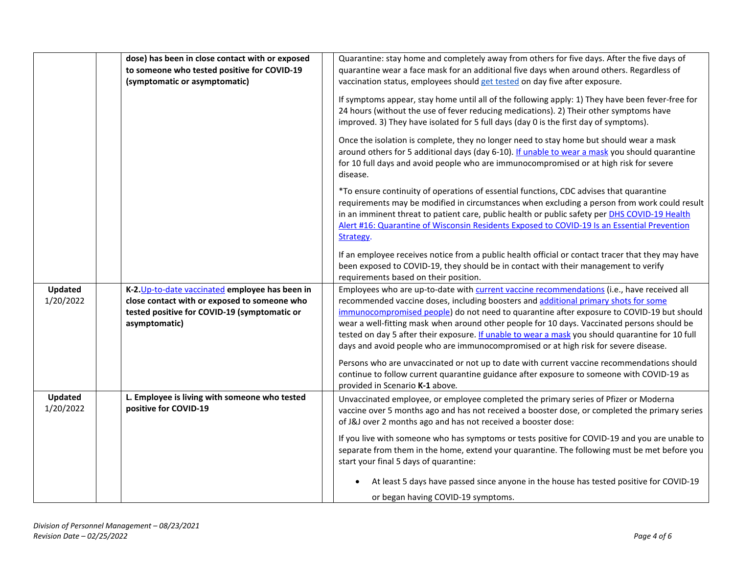|                      | dose) has been in close contact with or exposed<br>to someone who tested positive for COVID-19                                                                   | Quarantine: stay home and completely away from others for five days. After the five days of<br>quarantine wear a face mask for an additional five days when around others. Regardless of                                                                                                                                                                                                                                                                                                                                                                                 |
|----------------------|------------------------------------------------------------------------------------------------------------------------------------------------------------------|--------------------------------------------------------------------------------------------------------------------------------------------------------------------------------------------------------------------------------------------------------------------------------------------------------------------------------------------------------------------------------------------------------------------------------------------------------------------------------------------------------------------------------------------------------------------------|
|                      | (symptomatic or asymptomatic)                                                                                                                                    | vaccination status, employees should get tested on day five after exposure.                                                                                                                                                                                                                                                                                                                                                                                                                                                                                              |
|                      |                                                                                                                                                                  | If symptoms appear, stay home until all of the following apply: 1) They have been fever-free for<br>24 hours (without the use of fever reducing medications). 2) Their other symptoms have<br>improved. 3) They have isolated for 5 full days (day 0 is the first day of symptoms).                                                                                                                                                                                                                                                                                      |
|                      |                                                                                                                                                                  | Once the isolation is complete, they no longer need to stay home but should wear a mask<br>around others for 5 additional days (day 6-10). If unable to wear a mask you should quarantine<br>for 10 full days and avoid people who are immunocompromised or at high risk for severe<br>disease.                                                                                                                                                                                                                                                                          |
|                      |                                                                                                                                                                  | *To ensure continuity of operations of essential functions, CDC advises that quarantine<br>requirements may be modified in circumstances when excluding a person from work could result<br>in an imminent threat to patient care, public health or public safety per DHS COVID-19 Health<br>Alert #16: Quarantine of Wisconsin Residents Exposed to COVID-19 Is an Essential Prevention<br>Strategy.                                                                                                                                                                     |
|                      |                                                                                                                                                                  | If an employee receives notice from a public health official or contact tracer that they may have<br>been exposed to COVID-19, they should be in contact with their management to verify<br>requirements based on their position.                                                                                                                                                                                                                                                                                                                                        |
| Updated<br>1/20/2022 | K-2. Up-to-date vaccinated employee has been in<br>close contact with or exposed to someone who<br>tested positive for COVID-19 (symptomatic or<br>asymptomatic) | Employees who are up-to-date with current vaccine recommendations (i.e., have received all<br>recommended vaccine doses, including boosters and additional primary shots for some<br>immunocompromised people) do not need to quarantine after exposure to COVID-19 but should<br>wear a well-fitting mask when around other people for 10 days. Vaccinated persons should be<br>tested on day 5 after their exposure. If unable to wear a mask you should quarantine for 10 full<br>days and avoid people who are immunocompromised or at high risk for severe disease. |
|                      |                                                                                                                                                                  | Persons who are unvaccinated or not up to date with current vaccine recommendations should<br>continue to follow current quarantine guidance after exposure to someone with COVID-19 as<br>provided in Scenario K-1 above.                                                                                                                                                                                                                                                                                                                                               |
| Updated<br>1/20/2022 | L. Employee is living with someone who tested<br>positive for COVID-19                                                                                           | Unvaccinated employee, or employee completed the primary series of Pfizer or Moderna<br>vaccine over 5 months ago and has not received a booster dose, or completed the primary series<br>of J&J over 2 months ago and has not received a booster dose:                                                                                                                                                                                                                                                                                                                  |
|                      |                                                                                                                                                                  | If you live with someone who has symptoms or tests positive for COVID-19 and you are unable to<br>separate from them in the home, extend your quarantine. The following must be met before you<br>start your final 5 days of quarantine:                                                                                                                                                                                                                                                                                                                                 |
|                      |                                                                                                                                                                  | At least 5 days have passed since anyone in the house has tested positive for COVID-19<br>or began having COVID-19 symptoms.                                                                                                                                                                                                                                                                                                                                                                                                                                             |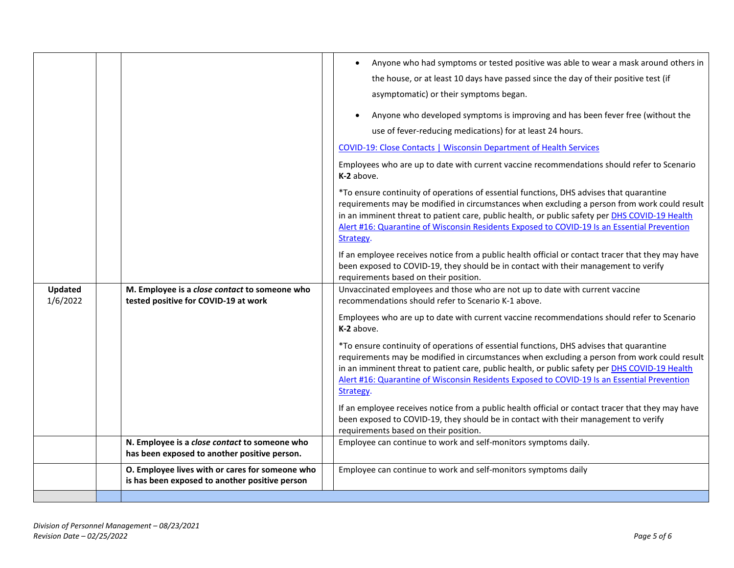|                            |                                                                                                   | Anyone who had symptoms or tested positive was able to wear a mask around others in<br>the house, or at least 10 days have passed since the day of their positive test (if<br>asymptomatic) or their symptoms began.<br>Anyone who developed symptoms is improving and has been fever free (without the<br>use of fever-reducing medications) for at least 24 hours.<br><b>COVID-19: Close Contacts   Wisconsin Department of Health Services</b><br>Employees who are up to date with current vaccine recommendations should refer to Scenario<br>K-2 above.<br>*To ensure continuity of operations of essential functions, DHS advises that quarantine<br>requirements may be modified in circumstances when excluding a person from work could result<br>in an imminent threat to patient care, public health, or public safety per DHS COVID-19 Health |
|----------------------------|---------------------------------------------------------------------------------------------------|------------------------------------------------------------------------------------------------------------------------------------------------------------------------------------------------------------------------------------------------------------------------------------------------------------------------------------------------------------------------------------------------------------------------------------------------------------------------------------------------------------------------------------------------------------------------------------------------------------------------------------------------------------------------------------------------------------------------------------------------------------------------------------------------------------------------------------------------------------|
|                            |                                                                                                   | Alert #16: Quarantine of Wisconsin Residents Exposed to COVID-19 Is an Essential Prevention<br>Strategy.<br>If an employee receives notice from a public health official or contact tracer that they may have<br>been exposed to COVID-19, they should be in contact with their management to verify<br>requirements based on their position.                                                                                                                                                                                                                                                                                                                                                                                                                                                                                                              |
| <b>Updated</b><br>1/6/2022 | M. Employee is a close contact to someone who<br>tested positive for COVID-19 at work             | Unvaccinated employees and those who are not up to date with current vaccine<br>recommendations should refer to Scenario K-1 above.<br>Employees who are up to date with current vaccine recommendations should refer to Scenario                                                                                                                                                                                                                                                                                                                                                                                                                                                                                                                                                                                                                          |
|                            |                                                                                                   | K-2 above.<br>*To ensure continuity of operations of essential functions, DHS advises that quarantine<br>requirements may be modified in circumstances when excluding a person from work could result<br>in an imminent threat to patient care, public health, or public safety per DHS COVID-19 Health<br>Alert #16: Quarantine of Wisconsin Residents Exposed to COVID-19 Is an Essential Prevention                                                                                                                                                                                                                                                                                                                                                                                                                                                     |
|                            |                                                                                                   | Strategy.<br>If an employee receives notice from a public health official or contact tracer that they may have<br>been exposed to COVID-19, they should be in contact with their management to verify<br>requirements based on their position.                                                                                                                                                                                                                                                                                                                                                                                                                                                                                                                                                                                                             |
|                            | N. Employee is a close contact to someone who<br>has been exposed to another positive person.     | Employee can continue to work and self-monitors symptoms daily.                                                                                                                                                                                                                                                                                                                                                                                                                                                                                                                                                                                                                                                                                                                                                                                            |
|                            | O. Employee lives with or cares for someone who<br>is has been exposed to another positive person | Employee can continue to work and self-monitors symptoms daily                                                                                                                                                                                                                                                                                                                                                                                                                                                                                                                                                                                                                                                                                                                                                                                             |